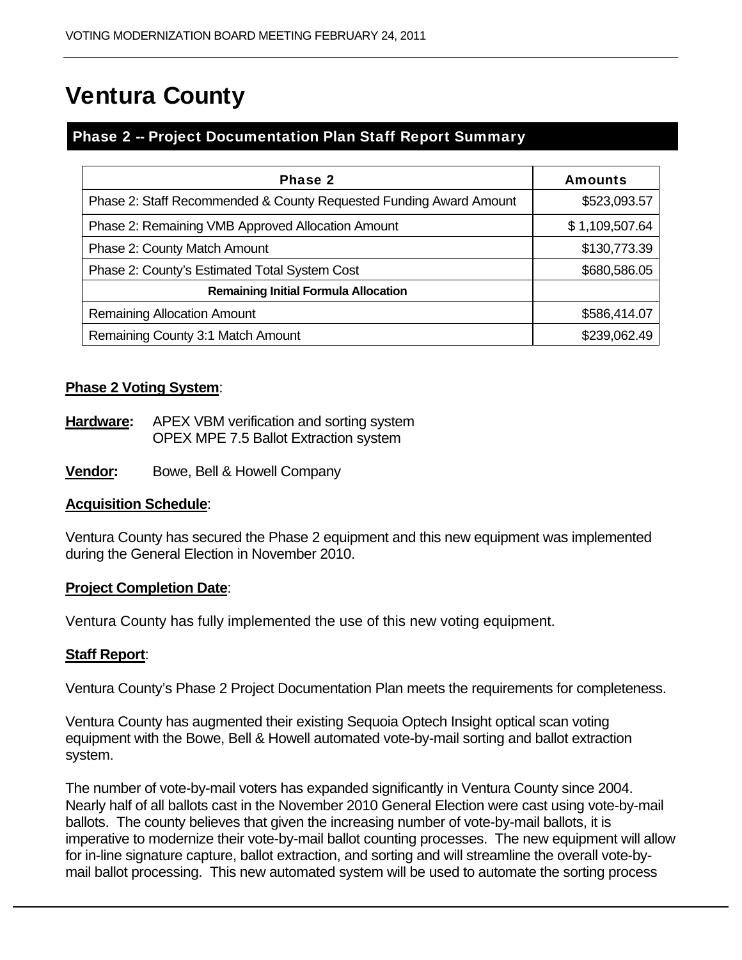# Ventura County

## Phase 2 -- Project Documentation Plan Staff Report Summary

| Phase 2                                                            | <b>Amounts</b> |
|--------------------------------------------------------------------|----------------|
| Phase 2: Staff Recommended & County Requested Funding Award Amount | \$523,093.57   |
| Phase 2: Remaining VMB Approved Allocation Amount                  | \$1,109,507.64 |
| Phase 2: County Match Amount                                       | \$130,773.39   |
| Phase 2: County's Estimated Total System Cost                      | \$680,586.05   |
| <b>Remaining Initial Formula Allocation</b>                        |                |
| <b>Remaining Allocation Amount</b>                                 | \$586,414.07   |
| Remaining County 3:1 Match Amount                                  | \$239,062.49   |

## **Phase 2 Voting System**:

- **Hardware:** APEX VBM verification and sorting system OPEX MPE 7.5 Ballot Extraction system
- **<u>Vendor:</u>** Bowe, Bell & Howell Company

## **Acquisition Schedule**:

Ventura County has secured the Phase 2 equipment and this new equipment was implemented during the General Election in November 2010.

#### **Project Completion Date**:

Ventura County has fully implemented the use of this new voting equipment.

## **Staff Report**:

Ventura County's Phase 2 Project Documentation Plan meets the requirements for completeness.

Ventura County has augmented their existing Sequoia Optech Insight optical scan voting equipment with the Bowe, Bell & Howell automated vote-by-mail sorting and ballot extraction system.

The number of vote-by-mail voters has expanded significantly in Ventura County since 2004. Nearly half of all ballots cast in the November 2010 General Election were cast using vote-by-mail ballots. The county believes that given the increasing number of vote-by-mail ballots, it is imperative to modernize their vote-by-mail ballot counting processes. The new equipment will allow for in-line signature capture, ballot extraction, and sorting and will streamline the overall vote-bymail ballot processing. This new automated system will be used to automate the sorting process